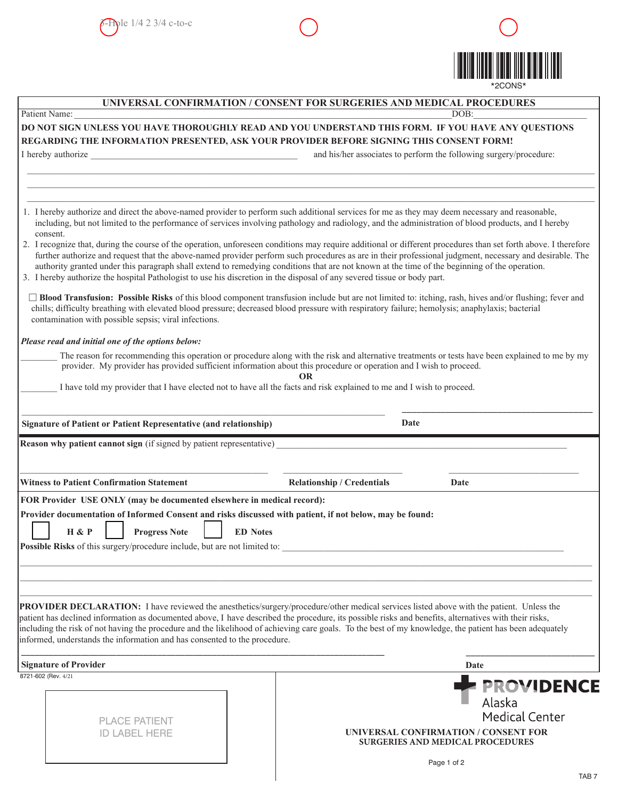

| UNIVERSAL CONFIRMATION / CONSENT FOR SURGERIES AND MEDICAL PROCEDURES<br>Patient Name:<br>DOB:                                                                                                                                                                                                                                                                                                                                                                                                                                                                                                          |                                   |                                                                    |
|---------------------------------------------------------------------------------------------------------------------------------------------------------------------------------------------------------------------------------------------------------------------------------------------------------------------------------------------------------------------------------------------------------------------------------------------------------------------------------------------------------------------------------------------------------------------------------------------------------|-----------------------------------|--------------------------------------------------------------------|
| DO NOT SIGN UNLESS YOU HAVE THOROUGHLY READ AND YOU UNDERSTAND THIS FORM. IF YOU HAVE ANY QUESTIONS                                                                                                                                                                                                                                                                                                                                                                                                                                                                                                     |                                   |                                                                    |
| REGARDING THE INFORMATION PRESENTED, ASK YOUR PROVIDER BEFORE SIGNING THIS CONSENT FORM!                                                                                                                                                                                                                                                                                                                                                                                                                                                                                                                |                                   |                                                                    |
| I hereby authorize                                                                                                                                                                                                                                                                                                                                                                                                                                                                                                                                                                                      |                                   | and his/her associates to perform the following surgery/procedure: |
|                                                                                                                                                                                                                                                                                                                                                                                                                                                                                                                                                                                                         |                                   |                                                                    |
|                                                                                                                                                                                                                                                                                                                                                                                                                                                                                                                                                                                                         |                                   |                                                                    |
|                                                                                                                                                                                                                                                                                                                                                                                                                                                                                                                                                                                                         |                                   |                                                                    |
| 1. I hereby authorize and direct the above-named provider to perform such additional services for me as they may deem necessary and reasonable,<br>including, but not limited to the performance of services involving pathology and radiology, and the administration of blood products, and I hereby<br>consent.                                                                                                                                                                                                                                                                                      |                                   |                                                                    |
| 2. I recognize that, during the course of the operation, unforeseen conditions may require additional or different procedures than set forth above. I therefore<br>further authorize and request that the above-named provider perform such procedures as are in their professional judgment, necessary and desirable. The<br>authority granted under this paragraph shall extend to remedying conditions that are not known at the time of the beginning of the operation.<br>3. I hereby authorize the hospital Pathologist to use his discretion in the disposal of any severed tissue or body part. |                                   |                                                                    |
| □ Blood Transfusion: Possible Risks of this blood component transfusion include but are not limited to: itching, rash, hives and/or flushing; fever and<br>chills; difficulty breathing with elevated blood pressure; decreased blood pressure with respiratory failure; hemolysis; anaphylaxis; bacterial<br>contamination with possible sepsis; viral infections.                                                                                                                                                                                                                                     |                                   |                                                                    |
| Please read and initial one of the options below:                                                                                                                                                                                                                                                                                                                                                                                                                                                                                                                                                       |                                   |                                                                    |
| The reason for recommending this operation or procedure along with the risk and alternative treatments or tests have been explained to me by my<br>provider. My provider has provided sufficient information about this procedure or operation and I wish to proceed.                                                                                                                                                                                                                                                                                                                                   |                                   |                                                                    |
| I have told my provider that I have elected not to have all the facts and risk explained to me and I wish to proceed.                                                                                                                                                                                                                                                                                                                                                                                                                                                                                   |                                   |                                                                    |
|                                                                                                                                                                                                                                                                                                                                                                                                                                                                                                                                                                                                         |                                   |                                                                    |
|                                                                                                                                                                                                                                                                                                                                                                                                                                                                                                                                                                                                         | Date                              |                                                                    |
| <b>Signature of Patient or Patient Representative (and relationship)</b>                                                                                                                                                                                                                                                                                                                                                                                                                                                                                                                                |                                   |                                                                    |
| Reason why patient cannot sign (if signed by patient representative)                                                                                                                                                                                                                                                                                                                                                                                                                                                                                                                                    |                                   |                                                                    |
|                                                                                                                                                                                                                                                                                                                                                                                                                                                                                                                                                                                                         |                                   |                                                                    |
| <b>Witness to Patient Confirmation Statement</b>                                                                                                                                                                                                                                                                                                                                                                                                                                                                                                                                                        | <b>Relationship / Credentials</b> | Date                                                               |
|                                                                                                                                                                                                                                                                                                                                                                                                                                                                                                                                                                                                         |                                   |                                                                    |
| FOR Provider USE ONLY (may be documented elsewhere in medical record):                                                                                                                                                                                                                                                                                                                                                                                                                                                                                                                                  |                                   |                                                                    |
| Provider documentation of Informed Consent and risks discussed with patient, if not below, may be found:                                                                                                                                                                                                                                                                                                                                                                                                                                                                                                |                                   |                                                                    |
| <b>H</b> & P<br><b>Progress Note</b><br><b>ED</b> Notes                                                                                                                                                                                                                                                                                                                                                                                                                                                                                                                                                 |                                   |                                                                    |
| Possible Risks of this surgery/procedure include, but are not limited to:                                                                                                                                                                                                                                                                                                                                                                                                                                                                                                                               |                                   |                                                                    |
|                                                                                                                                                                                                                                                                                                                                                                                                                                                                                                                                                                                                         |                                   |                                                                    |
|                                                                                                                                                                                                                                                                                                                                                                                                                                                                                                                                                                                                         |                                   |                                                                    |
|                                                                                                                                                                                                                                                                                                                                                                                                                                                                                                                                                                                                         |                                   |                                                                    |
| PROVIDER DECLARATION: I have reviewed the anesthetics/surgery/procedure/other medical services listed above with the patient. Unless the                                                                                                                                                                                                                                                                                                                                                                                                                                                                |                                   |                                                                    |
| patient has declined information as documented above, I have described the procedure, its possible risks and benefits, alternatives with their risks,                                                                                                                                                                                                                                                                                                                                                                                                                                                   |                                   |                                                                    |
| including the risk of not having the procedure and the likelihood of achieving care goals. To the best of my knowledge, the patient has been adequately<br>informed, understands the information and has consented to the procedure.                                                                                                                                                                                                                                                                                                                                                                    |                                   |                                                                    |
|                                                                                                                                                                                                                                                                                                                                                                                                                                                                                                                                                                                                         |                                   |                                                                    |
| <b>Signature of Provider</b>                                                                                                                                                                                                                                                                                                                                                                                                                                                                                                                                                                            |                                   | Date                                                               |
| 8721-602 (Rev. 4/21)                                                                                                                                                                                                                                                                                                                                                                                                                                                                                                                                                                                    |                                   |                                                                    |
|                                                                                                                                                                                                                                                                                                                                                                                                                                                                                                                                                                                                         |                                   |                                                                    |
|                                                                                                                                                                                                                                                                                                                                                                                                                                                                                                                                                                                                         |                                   |                                                                    |
|                                                                                                                                                                                                                                                                                                                                                                                                                                                                                                                                                                                                         |                                   | Alaska                                                             |
| <b>PLACE PATIENT</b>                                                                                                                                                                                                                                                                                                                                                                                                                                                                                                                                                                                    |                                   | <b>Medical Center</b>                                              |
| <b>ID LABEL HERE</b>                                                                                                                                                                                                                                                                                                                                                                                                                                                                                                                                                                                    |                                   | <b>PROVIDENCE</b><br>UNIVERSAL CONFIRMATION / CONSENT FOR          |
|                                                                                                                                                                                                                                                                                                                                                                                                                                                                                                                                                                                                         |                                   | <b>SURGERIES AND MEDICAL PROCEDURES</b>                            |
|                                                                                                                                                                                                                                                                                                                                                                                                                                                                                                                                                                                                         |                                   | Page 1 of 2                                                        |